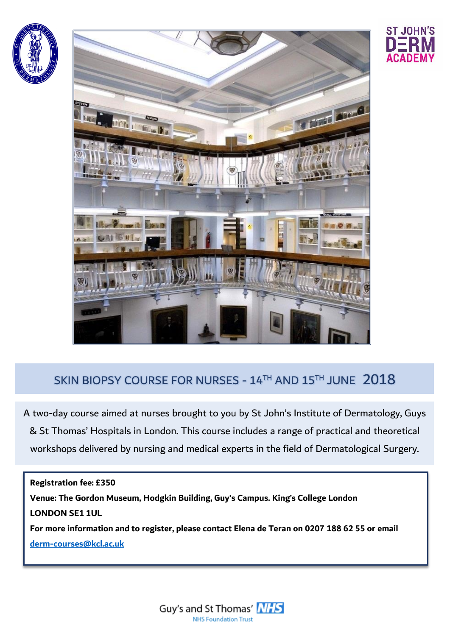





## SKIN BIOPSY COURSE FOR NURSES - 14TH AND 15TH JUNE 2018

A two-day course aimed at nurses brought to you by St John's Institute of Dermatology, Guys & St Thomas' Hospitals in London. This course includes a range of practical and theoretical workshops delivered by nursing and medical experts in the field of Dermatological Surgery.

**Registration fee: £350 Venue: The Gordon Museum, Hodgkin Building, Guy's Campus. King's College London LONDON SE1 1UL For more information and to register, please contact Elena de Teran on 0207 188 62 55 or email [derm-courses@kcl.ac.uk](mailto:derm-courses@kcl.ac.uk)**

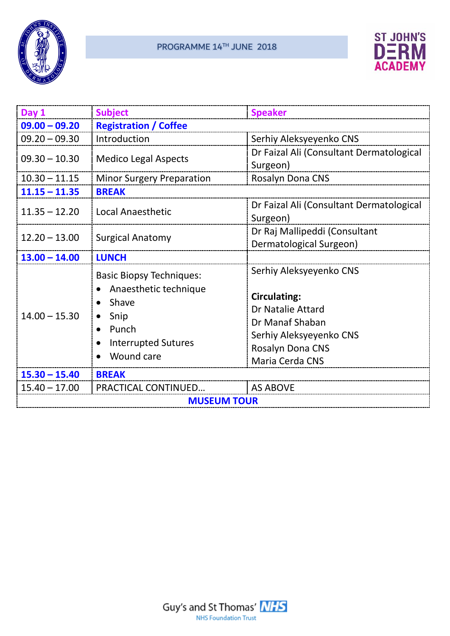



| Day 1              | <b>Subject</b>                                                                                                                 | <b>Speaker</b>                                                                                                                                           |  |
|--------------------|--------------------------------------------------------------------------------------------------------------------------------|----------------------------------------------------------------------------------------------------------------------------------------------------------|--|
| $09.00 - 09.20$    | <b>Registration / Coffee</b>                                                                                                   |                                                                                                                                                          |  |
| $09.20 - 09.30$    | Introduction                                                                                                                   | Serhiy Aleksyeyenko CNS                                                                                                                                  |  |
| $09.30 - 10.30$    | <b>Medico Legal Aspects</b>                                                                                                    | Dr Faizal Ali (Consultant Dermatological<br>Surgeon)                                                                                                     |  |
| $10.30 - 11.15$    | <b>Minor Surgery Preparation</b>                                                                                               | Rosalyn Dona CNS                                                                                                                                         |  |
| $11.15 - 11.35$    | <b>BREAK</b>                                                                                                                   |                                                                                                                                                          |  |
| $11.35 - 12.20$    | <b>Local Anaesthetic</b>                                                                                                       | Dr Faizal Ali (Consultant Dermatological<br>Surgeon)                                                                                                     |  |
| $12.20 - 13.00$    | <b>Surgical Anatomy</b>                                                                                                        | Dr Raj Mallipeddi (Consultant<br>Dermatological Surgeon)                                                                                                 |  |
| $13.00 - 14.00$    | <b>LUNCH</b>                                                                                                                   |                                                                                                                                                          |  |
| $14.00 - 15.30$    | <b>Basic Biopsy Techniques:</b><br>Anaesthetic technique<br>Shave<br>Snip<br>Punch<br><b>Interrupted Sutures</b><br>Wound care | Serhiy Aleksyeyenko CNS<br><b>Circulating:</b><br>Dr Natalie Attard<br>Dr Manaf Shaban<br>Serhiy Aleksyeyenko CNS<br>Rosalyn Dona CNS<br>Maria Cerda CNS |  |
| $15.30 - 15.40$    | <b>BREAK</b>                                                                                                                   |                                                                                                                                                          |  |
| $15.40 - 17.00$    | <b>PRACTICAL CONTINUED</b>                                                                                                     | <b>AS ABOVE</b>                                                                                                                                          |  |
| <b>MUSEUM TOUR</b> |                                                                                                                                |                                                                                                                                                          |  |